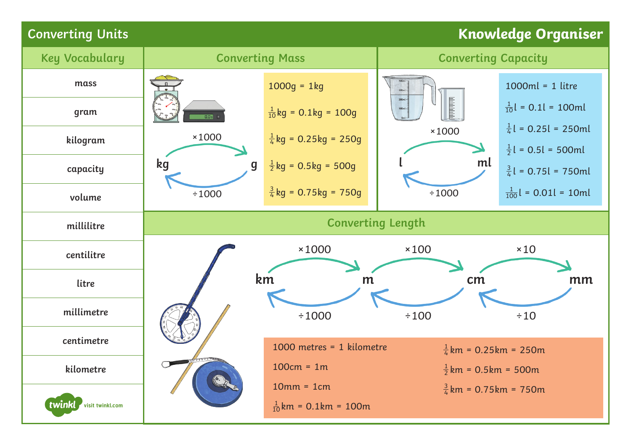